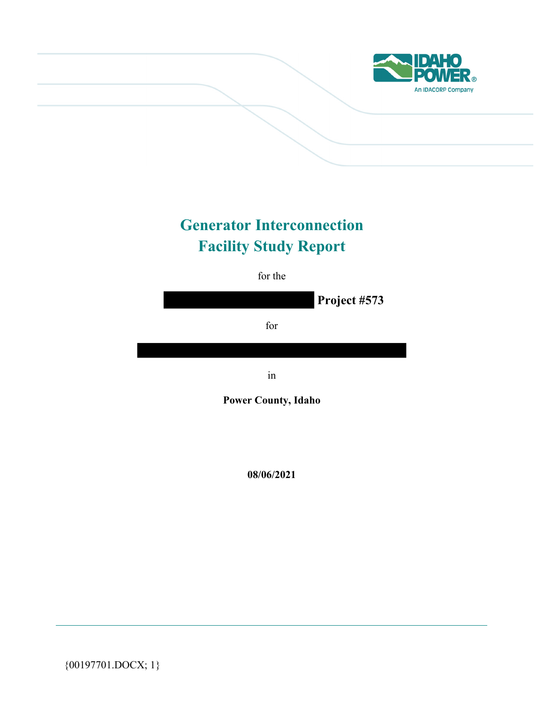

# **Generator Interconnection Facility Study Report**

for the

 **Project #573** 

for

in

**Power County, Idaho** 

**08/06/2021** 

{00197701.DOCX; 1}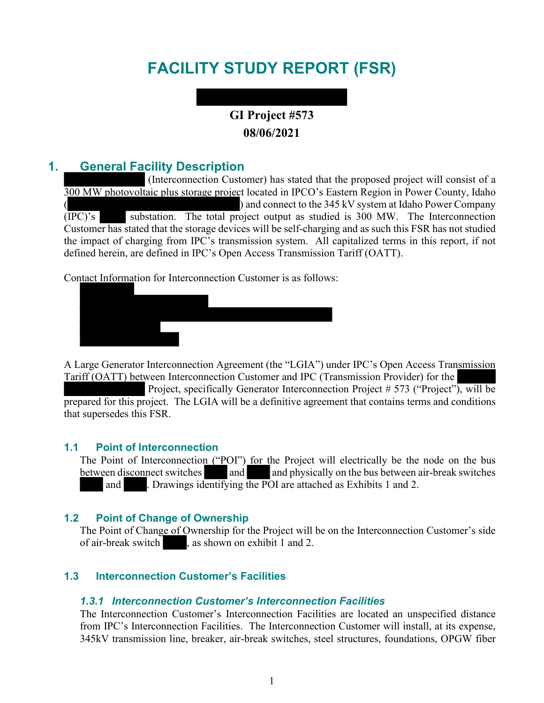# **FACILITY STUDY REPORT (FSR)**

# **GI Project #573 08/06/2021**

# **1. General Facility Description**

 (Interconnection Customer) has stated that the proposed project will consist of a 300 MW photovoltaic plus storage project located in IPCO's Eastern Region in Power County, Idaho ) and connect to the 345 kV system at Idaho Power Company (IPC)'s substation. The total project output as studied is 300 MW. The Interconnection Customer has stated that the storage devices will be self-charging and as such this FSR has not studied the impact of charging from IPC's transmission system. All capitalized terms in this report, if not defined herein, are defined in IPC's Open Access Transmission Tariff (OATT).

Contact Information for Interconnection Customer is as follows:



A Large Generator Interconnection Agreement (the "LGIA") under IPC's Open Access Transmission Tariff (OATT) between Interconnection Customer and IPC (Transmission Provider) for the

Project, specifically Generator Interconnection Project # 573 ("Project"), will be prepared for this project. The LGIA will be a definitive agreement that contains terms and conditions that supersedes this FSR.

#### **1.1 Point of Interconnection**

The Point of Interconnection ("POI") for the Project will electrically be the node on the bus between disconnect switches and and physically on the bus between air-break switches and . Drawings identifying the POI are attached as Exhibits 1 and 2.

#### **1.2 Point of Change of Ownership**

The Point of Change of Ownership for the Project will be on the Interconnection Customer's side of air-break switch , as shown on exhibit 1 and 2.

#### **1.3 Interconnection Customer's Facilities**

#### *1.3.1 Interconnection Customer's Interconnection Facilities*

The Interconnection Customer's Interconnection Facilities are located an unspecified distance from IPC's Interconnection Facilities. The Interconnection Customer will install, at its expense, 345kV transmission line, breaker, air-break switches, steel structures, foundations, OPGW fiber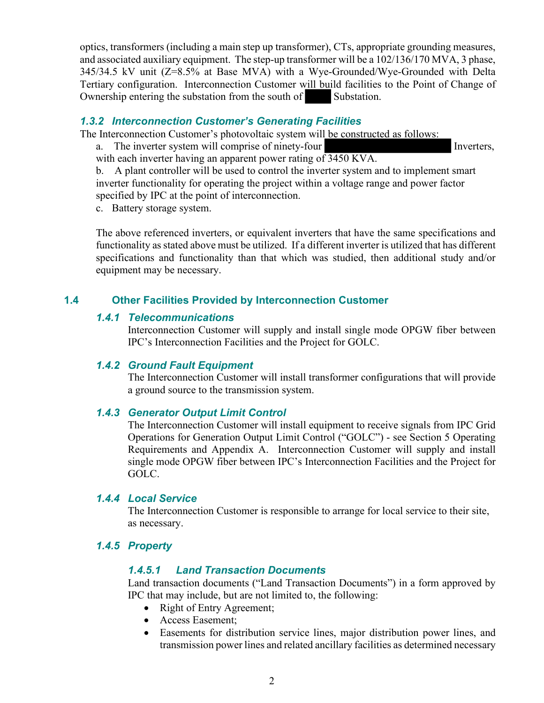optics, transformers (including a main step up transformer), CTs, appropriate grounding measures, and associated auxiliary equipment. The step-up transformer will be a 102/136/170 MVA, 3 phase, 345/34.5 kV unit (Z=8.5% at Base MVA) with a Wye-Grounded/Wye-Grounded with Delta Tertiary configuration. Interconnection Customer will build facilities to the Point of Change of Ownership entering the substation from the south of Substation.

#### *1.3.2 Interconnection Customer's Generating Facilities*

The Interconnection Customer's photovoltaic system will be constructed as follows:

a. The inverter system will comprise of ninety-four Inverters,

with each inverter having an apparent power rating of 3450 KVA. b. A plant controller will be used to control the inverter system and to implement smart inverter functionality for operating the project within a voltage range and power factor

specified by IPC at the point of interconnection.

c. Battery storage system.

The above referenced inverters, or equivalent inverters that have the same specifications and functionality as stated above must be utilized. If a different inverter is utilized that has different specifications and functionality than that which was studied, then additional study and/or equipment may be necessary.

#### **1.4 Other Facilities Provided by Interconnection Customer**

#### *1.4.1 Telecommunications*

Interconnection Customer will supply and install single mode OPGW fiber between IPC's Interconnection Facilities and the Project for GOLC.

#### *1.4.2 Ground Fault Equipment*

The Interconnection Customer will install transformer configurations that will provide a ground source to the transmission system.

#### *1.4.3 Generator Output Limit Control*

The Interconnection Customer will install equipment to receive signals from IPC Grid Operations for Generation Output Limit Control ("GOLC") - see Section 5 Operating Requirements and Appendix A. Interconnection Customer will supply and install single mode OPGW fiber between IPC's Interconnection Facilities and the Project for GOLC.

#### *1.4.4 Local Service*

The Interconnection Customer is responsible to arrange for local service to their site, as necessary.

#### *1.4.5 Property*

#### *1.4.5.1 Land Transaction Documents*

Land transaction documents ("Land Transaction Documents") in a form approved by IPC that may include, but are not limited to, the following:

- Right of Entry Agreement;
- Access Easement;
- Easements for distribution service lines, major distribution power lines, and transmission power lines and related ancillary facilities as determined necessary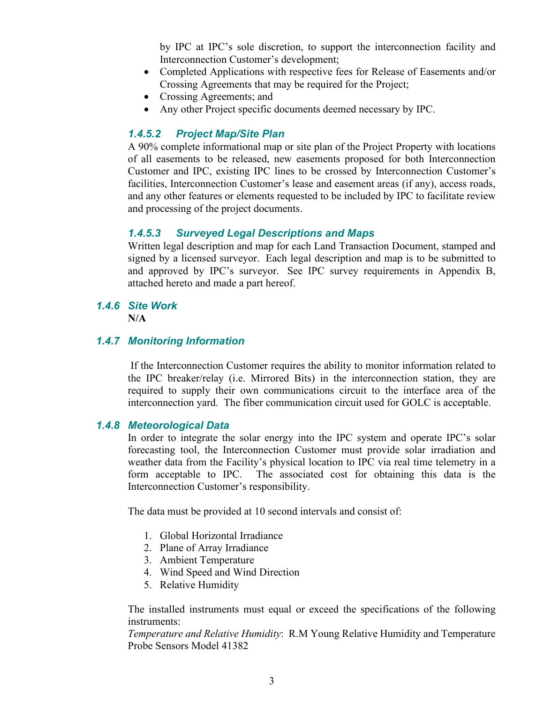by IPC at IPC's sole discretion, to support the interconnection facility and Interconnection Customer's development;

- Completed Applications with respective fees for Release of Easements and/or Crossing Agreements that may be required for the Project;
- Crossing Agreements; and
- Any other Project specific documents deemed necessary by IPC.

#### *1.4.5.2 Project Map/Site Plan*

A 90% complete informational map or site plan of the Project Property with locations of all easements to be released, new easements proposed for both Interconnection Customer and IPC, existing IPC lines to be crossed by Interconnection Customer's facilities, Interconnection Customer's lease and easement areas (if any), access roads, and any other features or elements requested to be included by IPC to facilitate review and processing of the project documents.

#### *1.4.5.3 Surveyed Legal Descriptions and Maps*

Written legal description and map for each Land Transaction Document, stamped and signed by a licensed surveyor. Each legal description and map is to be submitted to and approved by IPC's surveyor. See IPC survey requirements in Appendix B, attached hereto and made a part hereof.

### *1.4.6 Site Work*

**N/A**

#### *1.4.7 Monitoring Information*

If the Interconnection Customer requires the ability to monitor information related to the IPC breaker/relay (i.e. Mirrored Bits) in the interconnection station, they are required to supply their own communications circuit to the interface area of the interconnection yard. The fiber communication circuit used for GOLC is acceptable.

#### *1.4.8 Meteorological Data*

In order to integrate the solar energy into the IPC system and operate IPC's solar forecasting tool, the Interconnection Customer must provide solar irradiation and weather data from the Facility's physical location to IPC via real time telemetry in a form acceptable to IPC. The associated cost for obtaining this data is the Interconnection Customer's responsibility.

The data must be provided at 10 second intervals and consist of:

- 1. Global Horizontal Irradiance
- 2. Plane of Array Irradiance
- 3. Ambient Temperature
- 4. Wind Speed and Wind Direction
- 5. Relative Humidity

The installed instruments must equal or exceed the specifications of the following instruments:

*Temperature and Relative Humidity*: R.M Young Relative Humidity and Temperature Probe Sensors Model 41382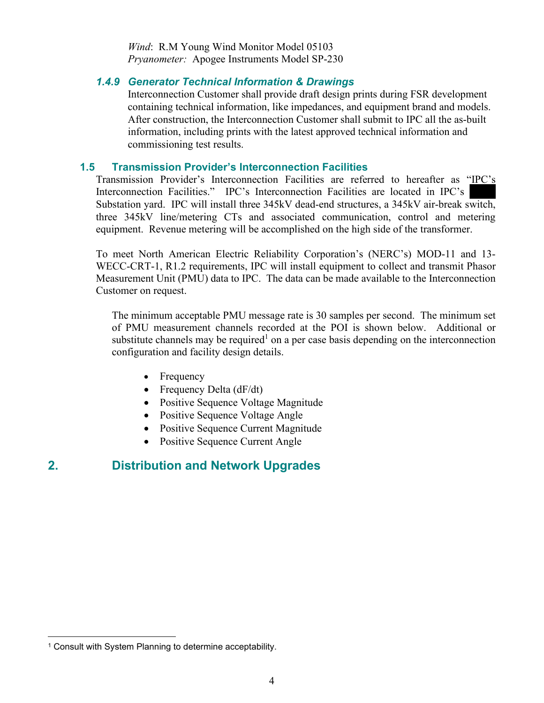*Wind*: R.M Young Wind Monitor Model 05103 *Pryanometer:* Apogee Instruments Model SP-230

#### *1.4.9 Generator Technical Information & Drawings*

Interconnection Customer shall provide draft design prints during FSR development containing technical information, like impedances, and equipment brand and models. After construction, the Interconnection Customer shall submit to IPC all the as-built information, including prints with the latest approved technical information and commissioning test results.

#### **1.5 Transmission Provider's Interconnection Facilities**

Transmission Provider's Interconnection Facilities are referred to hereafter as "IPC's Interconnection Facilities." IPC's Interconnection Facilities are located in IPC's Substation yard. IPC will install three 345kV dead-end structures, a 345kV air-break switch, three 345kV line/metering CTs and associated communication, control and metering equipment. Revenue metering will be accomplished on the high side of the transformer.

To meet North American Electric Reliability Corporation's (NERC's) MOD-11 and 13- WECC-CRT-1, R1.2 requirements, IPC will install equipment to collect and transmit Phasor Measurement Unit (PMU) data to IPC. The data can be made available to the Interconnection Customer on request.

The minimum acceptable PMU message rate is 30 samples per second. The minimum set of PMU measurement channels recorded at the POI is shown below. Additional or substitute channels may be required<sup>1</sup> on a per case basis depending on the interconnection configuration and facility design details.

- Frequency
- Frequency Delta (dF/dt)
- Positive Sequence Voltage Magnitude
- Positive Sequence Voltage Angle
- Positive Sequence Current Magnitude
- Positive Sequence Current Angle

# **2. Distribution and Network Upgrades**

<sup>&</sup>lt;sup>1</sup> Consult with System Planning to determine acceptability.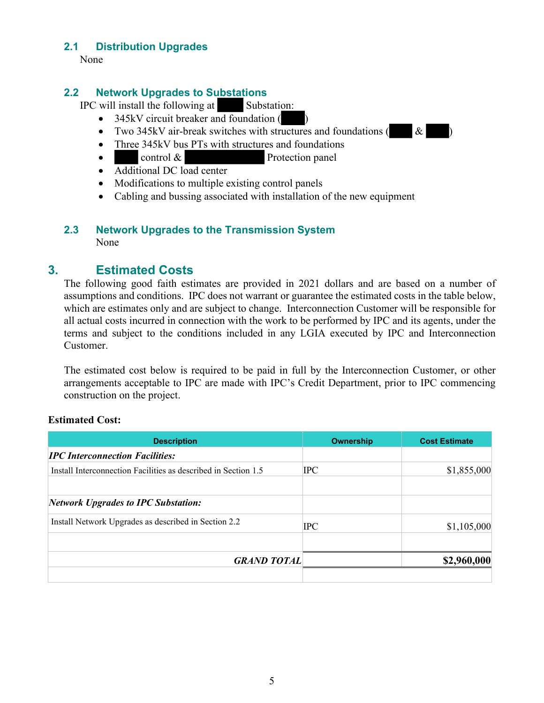#### **2.1 Distribution Upgrades**

None

#### **2.2 Network Upgrades to Substations**

IPC will install the following at Substation:

- $\bullet$  345kV circuit breaker and foundation (
- Two 345kV air-break switches with structures and foundations  $($  &
- Three 345kV bus PTs with structures and foundations
- control & Protection panel
- Additional DC load center
- Modifications to multiple existing control panels
- Cabling and bussing associated with installation of the new equipment

#### **2.3 Network Upgrades to the Transmission System**  None

# **3. Estimated Costs**

The following good faith estimates are provided in 2021 dollars and are based on a number of assumptions and conditions. IPC does not warrant or guarantee the estimated costs in the table below, which are estimates only and are subject to change. Interconnection Customer will be responsible for all actual costs incurred in connection with the work to be performed by IPC and its agents, under the terms and subject to the conditions included in any LGIA executed by IPC and Interconnection Customer.

The estimated cost below is required to be paid in full by the Interconnection Customer, or other arrangements acceptable to IPC are made with IPC's Credit Department, prior to IPC commencing construction on the project.

#### **Estimated Cost:**

| <b>Description</b>                                             | <b>Ownership</b> | <b>Cost Estimate</b> |
|----------------------------------------------------------------|------------------|----------------------|
| <b>IPC</b> Interconnection Facilities:                         |                  |                      |
| Install Interconnection Facilities as described in Section 1.5 | <b>IPC</b>       | \$1,855,000          |
| <b>Network Upgrades to IPC Substation:</b>                     |                  |                      |
| Install Network Upgrades as described in Section 2.2           | $_{\rm IPC}$     | \$1,105,000          |
| <b>GRAND TOTAL</b>                                             |                  | \$2,960,000          |
|                                                                |                  |                      |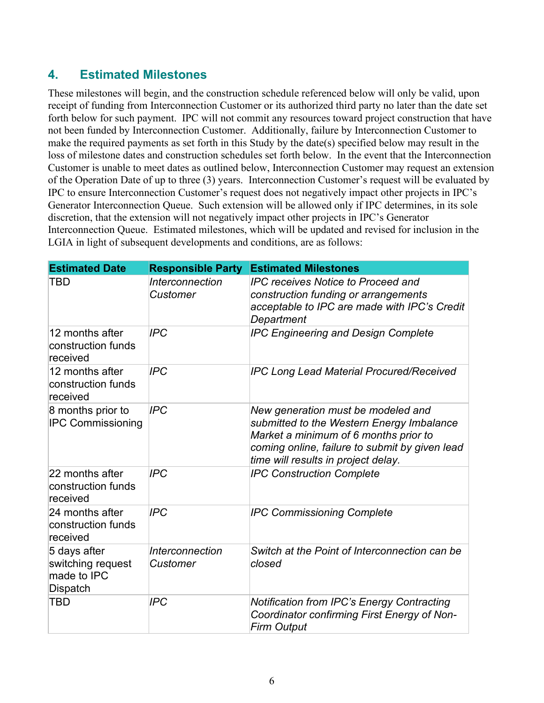# **4. Estimated Milestones**

These milestones will begin, and the construction schedule referenced below will only be valid, upon receipt of funding from Interconnection Customer or its authorized third party no later than the date set forth below for such payment. IPC will not commit any resources toward project construction that have not been funded by Interconnection Customer. Additionally, failure by Interconnection Customer to make the required payments as set forth in this Study by the date(s) specified below may result in the loss of milestone dates and construction schedules set forth below. In the event that the Interconnection Customer is unable to meet dates as outlined below, Interconnection Customer may request an extension of the Operation Date of up to three (3) years. Interconnection Customer's request will be evaluated by IPC to ensure Interconnection Customer's request does not negatively impact other projects in IPC's Generator Interconnection Queue. Such extension will be allowed only if IPC determines, in its sole discretion, that the extension will not negatively impact other projects in IPC's Generator Interconnection Queue. Estimated milestones, which will be updated and revised for inclusion in the LGIA in light of subsequent developments and conditions, are as follows:

| <b>Estimated Date</b>                                        | <b>Responsible Party</b>                  | <b>Estimated Milestones</b>                                                                                                                                                                                       |
|--------------------------------------------------------------|-------------------------------------------|-------------------------------------------------------------------------------------------------------------------------------------------------------------------------------------------------------------------|
| TBD                                                          | <i><b>Interconnection</b></i><br>Customer | <b>IPC receives Notice to Proceed and</b><br>construction funding or arrangements<br>acceptable to IPC are made with IPC's Credit<br>Department                                                                   |
| 12 months after<br>construction funds<br>received            | <b>IPC</b>                                | <b>IPC Engineering and Design Complete</b>                                                                                                                                                                        |
| 12 months after<br>construction funds<br>received            | <b>IPC</b>                                | <b>IPC Long Lead Material Procured/Received</b>                                                                                                                                                                   |
| 8 months prior to<br><b>IPC Commissioning</b>                | <b>IPC</b>                                | New generation must be modeled and<br>submitted to the Western Energy Imbalance<br>Market a minimum of 6 months prior to<br>coming online, failure to submit by given lead<br>time will results in project delay. |
| 22 months after<br>construction funds<br>received            | <b>IPC</b>                                | <b>IPC Construction Complete</b>                                                                                                                                                                                  |
| 24 months after<br>construction funds<br>received            | <b>IPC</b>                                | <b>IPC Commissioning Complete</b>                                                                                                                                                                                 |
| 5 days after<br>switching request<br>made to IPC<br>Dispatch | Interconnection<br>Customer               | Switch at the Point of Interconnection can be<br>closed                                                                                                                                                           |
| <b>TBD</b>                                                   | <b>IPC</b>                                | <b>Notification from IPC's Energy Contracting</b><br>Coordinator confirming First Energy of Non-<br><b>Firm Output</b>                                                                                            |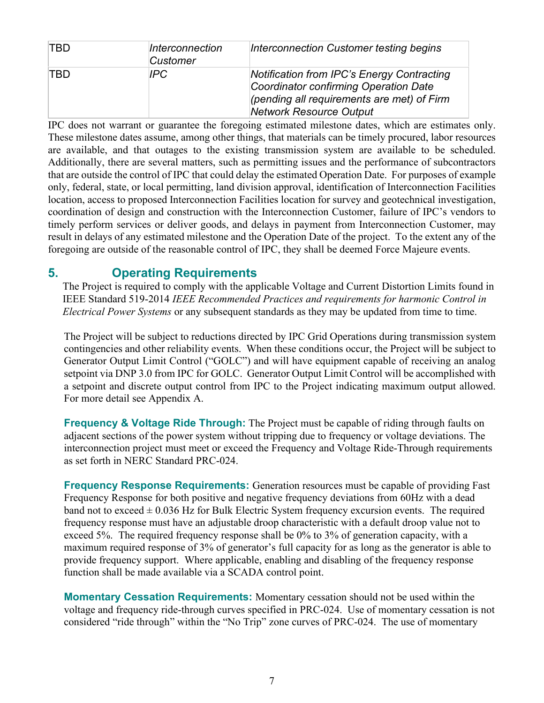| <b>TBD</b> | Interconnection<br>Customer | Interconnection Customer testing begins                                                                                                                             |
|------------|-----------------------------|---------------------------------------------------------------------------------------------------------------------------------------------------------------------|
| TBD.       | IPC.                        | Notification from IPC's Energy Contracting<br>Coordinator confirming Operation Date<br>(pending all requirements are met) of Firm<br><b>Network Resource Output</b> |

IPC does not warrant or guarantee the foregoing estimated milestone dates, which are estimates only. These milestone dates assume, among other things, that materials can be timely procured, labor resources are available, and that outages to the existing transmission system are available to be scheduled. Additionally, there are several matters, such as permitting issues and the performance of subcontractors that are outside the control of IPC that could delay the estimated Operation Date. For purposes of example only, federal, state, or local permitting, land division approval, identification of Interconnection Facilities location, access to proposed Interconnection Facilities location for survey and geotechnical investigation, coordination of design and construction with the Interconnection Customer, failure of IPC's vendors to timely perform services or deliver goods, and delays in payment from Interconnection Customer, may result in delays of any estimated milestone and the Operation Date of the project. To the extent any of the foregoing are outside of the reasonable control of IPC, they shall be deemed Force Majeure events.

# **5. Operating Requirements**

The Project is required to comply with the applicable Voltage and Current Distortion Limits found in IEEE Standard 519-2014 *IEEE Recommended Practices and requirements for harmonic Control in Electrical Power Systems* or any subsequent standards as they may be updated from time to time.

The Project will be subject to reductions directed by IPC Grid Operations during transmission system contingencies and other reliability events. When these conditions occur, the Project will be subject to Generator Output Limit Control ("GOLC") and will have equipment capable of receiving an analog setpoint via DNP 3.0 from IPC for GOLC. Generator Output Limit Control will be accomplished with a setpoint and discrete output control from IPC to the Project indicating maximum output allowed. For more detail see Appendix A.

**Frequency & Voltage Ride Through:** The Project must be capable of riding through faults on adjacent sections of the power system without tripping due to frequency or voltage deviations. The interconnection project must meet or exceed the Frequency and Voltage Ride-Through requirements as set forth in NERC Standard PRC-024.

**Frequency Response Requirements:** Generation resources must be capable of providing Fast Frequency Response for both positive and negative frequency deviations from 60Hz with a dead band not to exceed  $\pm$  0.036 Hz for Bulk Electric System frequency excursion events. The required frequency response must have an adjustable droop characteristic with a default droop value not to exceed 5%. The required frequency response shall be 0% to 3% of generation capacity, with a maximum required response of 3% of generator's full capacity for as long as the generator is able to provide frequency support. Where applicable, enabling and disabling of the frequency response function shall be made available via a SCADA control point.

**Momentary Cessation Requirements:** Momentary cessation should not be used within the voltage and frequency ride-through curves specified in PRC-024. Use of momentary cessation is not considered "ride through" within the "No Trip" zone curves of PRC-024. The use of momentary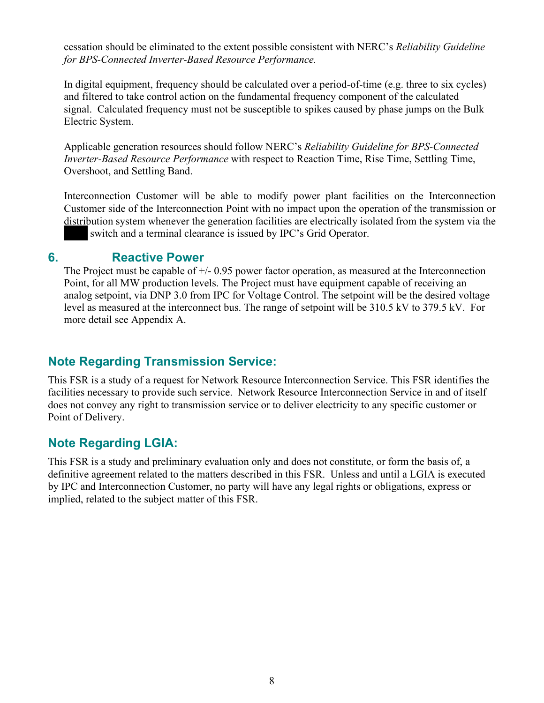cessation should be eliminated to the extent possible consistent with NERC's *Reliability Guideline for BPS-Connected Inverter-Based Resource Performance.*

In digital equipment, frequency should be calculated over a period-of-time (e.g. three to six cycles) and filtered to take control action on the fundamental frequency component of the calculated signal. Calculated frequency must not be susceptible to spikes caused by phase jumps on the Bulk Electric System.

Applicable generation resources should follow NERC's *Reliability Guideline for BPS-Connected Inverter-Based Resource Performance* with respect to Reaction Time, Rise Time, Settling Time, Overshoot, and Settling Band.

Interconnection Customer will be able to modify power plant facilities on the Interconnection Customer side of the Interconnection Point with no impact upon the operation of the transmission or distribution system whenever the generation facilities are electrically isolated from the system via the switch and a terminal clearance is issued by IPC's Grid Operator.

### **6. Reactive Power**

The Project must be capable of +/- 0.95 power factor operation, as measured at the Interconnection Point, for all MW production levels. The Project must have equipment capable of receiving an analog setpoint, via DNP 3.0 from IPC for Voltage Control. The setpoint will be the desired voltage level as measured at the interconnect bus. The range of setpoint will be 310.5 kV to 379.5 kV. For more detail see Appendix A.

# **Note Regarding Transmission Service:**

This FSR is a study of a request for Network Resource Interconnection Service. This FSR identifies the facilities necessary to provide such service. Network Resource Interconnection Service in and of itself does not convey any right to transmission service or to deliver electricity to any specific customer or Point of Delivery.

# **Note Regarding LGIA:**

This FSR is a study and preliminary evaluation only and does not constitute, or form the basis of, a definitive agreement related to the matters described in this FSR. Unless and until a LGIA is executed by IPC and Interconnection Customer, no party will have any legal rights or obligations, express or implied, related to the subject matter of this FSR.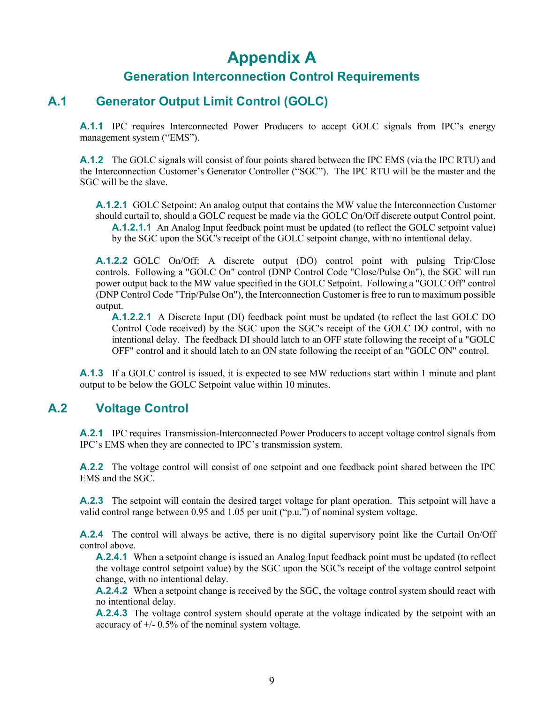# **Appendix A**

## **Generation Interconnection Control Requirements**

### **A.1 Generator Output Limit Control (GOLC)**

**A.1.1** IPC requires Interconnected Power Producers to accept GOLC signals from IPC's energy management system ("EMS").

**A.1.2** The GOLC signals will consist of four points shared between the IPC EMS (via the IPC RTU) and the Interconnection Customer's Generator Controller ("SGC"). The IPC RTU will be the master and the SGC will be the slave.

**A.1.2.1** GOLC Setpoint: An analog output that contains the MW value the Interconnection Customer should curtail to, should a GOLC request be made via the GOLC On/Off discrete output Control point. **A.1.2.1.1** An Analog Input feedback point must be updated (to reflect the GOLC setpoint value) by the SGC upon the SGC's receipt of the GOLC setpoint change, with no intentional delay.

**A.1.2.2** GOLC On/Off: A discrete output (DO) control point with pulsing Trip/Close controls. Following a "GOLC On" control (DNP Control Code "Close/Pulse On"), the SGC will run power output back to the MW value specified in the GOLC Setpoint. Following a "GOLC Off" control (DNP Control Code "Trip/Pulse On"), the Interconnection Customer is free to run to maximum possible output.

**A.1.2.2.1** A Discrete Input (DI) feedback point must be updated (to reflect the last GOLC DO Control Code received) by the SGC upon the SGC's receipt of the GOLC DO control, with no intentional delay. The feedback DI should latch to an OFF state following the receipt of a "GOLC OFF" control and it should latch to an ON state following the receipt of an "GOLC ON" control.

**A.1.3** If a GOLC control is issued, it is expected to see MW reductions start within 1 minute and plant output to be below the GOLC Setpoint value within 10 minutes.

#### **A.2 Voltage Control**

**A.2.1** IPC requires Transmission-Interconnected Power Producers to accept voltage control signals from IPC's EMS when they are connected to IPC's transmission system.

**A.2.2** The voltage control will consist of one setpoint and one feedback point shared between the IPC EMS and the SGC.

**A.2.3** The setpoint will contain the desired target voltage for plant operation. This setpoint will have a valid control range between 0.95 and 1.05 per unit ("p.u.") of nominal system voltage.

**A.2.4** The control will always be active, there is no digital supervisory point like the Curtail On/Off control above.

**A.2.4.1** When a setpoint change is issued an Analog Input feedback point must be updated (to reflect the voltage control setpoint value) by the SGC upon the SGC's receipt of the voltage control setpoint change, with no intentional delay.

**A.2.4.2** When a setpoint change is received by the SGC, the voltage control system should react with no intentional delay.

**A.2.4.3** The voltage control system should operate at the voltage indicated by the setpoint with an accuracy of +/- 0.5% of the nominal system voltage.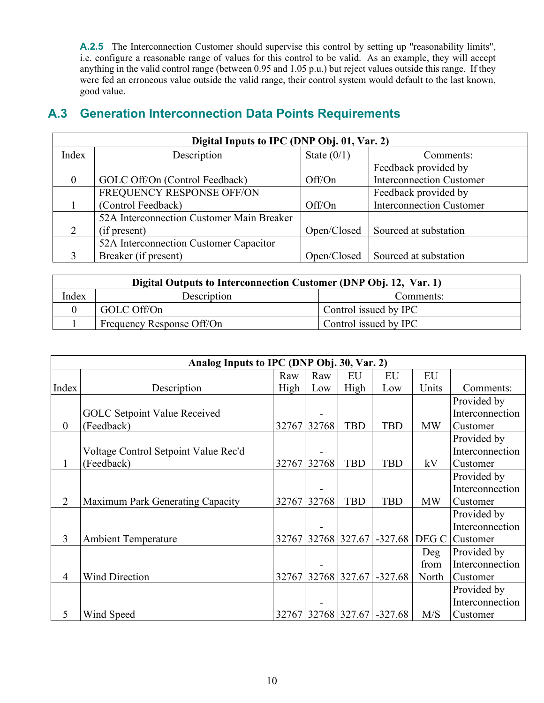**A.2.5** The Interconnection Customer should supervise this control by setting up "reasonability limits", i.e. configure a reasonable range of values for this control to be valid. As an example, they will accept anything in the valid control range (between 0.95 and 1.05 p.u.) but reject values outside this range. If they were fed an erroneous value outside the valid range, their control system would default to the last known, good value.

# **A.3 Generation Interconnection Data Points Requirements**

| Digital Inputs to IPC (DNP Obj. 01, Var. 2) |                                           |               |                                 |  |  |  |  |  |
|---------------------------------------------|-------------------------------------------|---------------|---------------------------------|--|--|--|--|--|
| Index                                       | Description                               | State $(0/1)$ | Comments:                       |  |  |  |  |  |
|                                             |                                           |               | Feedback provided by            |  |  |  |  |  |
| $\theta$                                    | GOLC Off/On (Control Feedback)            | Off/On        | <b>Interconnection Customer</b> |  |  |  |  |  |
|                                             | FREQUENCY RESPONSE OFF/ON                 |               | Feedback provided by            |  |  |  |  |  |
|                                             | (Control Feedback)                        | Off/On        | <b>Interconnection Customer</b> |  |  |  |  |  |
|                                             | 52A Interconnection Customer Main Breaker |               |                                 |  |  |  |  |  |
| 2                                           | (if present)                              | Open/Closed   | Sourced at substation           |  |  |  |  |  |
|                                             | 52A Interconnection Customer Capacitor    |               |                                 |  |  |  |  |  |
|                                             | Breaker (if present)                      | Open/Closed   | Sourced at substation           |  |  |  |  |  |

| Digital Outputs to Interconnection Customer (DNP Obj. 12, Var. 1) |                           |                       |  |  |  |  |
|-------------------------------------------------------------------|---------------------------|-----------------------|--|--|--|--|
| Index                                                             | Description               | Comments:             |  |  |  |  |
|                                                                   | GOLC Off/On               | Control issued by IPC |  |  |  |  |
|                                                                   | Frequency Response Off/On | Control issued by IPC |  |  |  |  |

|                | Analog Inputs to IPC (DNP Obj. 30, Var. 2) |      |             |                    |            |           |                 |  |
|----------------|--------------------------------------------|------|-------------|--------------------|------------|-----------|-----------------|--|
|                |                                            | Raw  | Raw         | EU                 | EU         | EU        |                 |  |
| Index          | Description                                | High | Low         | High               | Low        | Units     | Comments:       |  |
|                |                                            |      |             |                    |            |           | Provided by     |  |
|                | <b>GOLC Setpoint Value Received</b>        |      |             |                    |            |           | Interconnection |  |
| $\theta$       | (Feedback)                                 |      | 32767 32768 | <b>TBD</b>         | <b>TBD</b> | <b>MW</b> | Customer        |  |
|                |                                            |      |             |                    |            |           | Provided by     |  |
|                | Voltage Control Setpoint Value Rec'd       |      |             |                    |            |           | Interconnection |  |
| 1              | (Feedback)                                 |      | 32767 32768 | <b>TBD</b>         | <b>TBD</b> | kV        | Customer        |  |
|                |                                            |      |             |                    |            |           | Provided by     |  |
|                |                                            |      |             |                    |            |           | Interconnection |  |
| $\overline{2}$ | Maximum Park Generating Capacity           |      | 32767 32768 | <b>TBD</b>         | <b>TBD</b> | <b>MW</b> | Customer        |  |
|                |                                            |      |             |                    |            |           | Provided by     |  |
|                |                                            |      |             |                    |            |           | Interconnection |  |
| 3              | <b>Ambient Temperature</b>                 |      |             | 32767 32768 327.67 | $-327.68$  | DEG C     | Customer        |  |
|                |                                            |      |             |                    |            | Deg       | Provided by     |  |
|                |                                            |      |             |                    |            | from      | Interconnection |  |
| $\overline{4}$ | <b>Wind Direction</b>                      |      |             | 32767 32768 327.67 | $-327.68$  | North     | Customer        |  |
|                |                                            |      |             |                    |            |           | Provided by     |  |
|                |                                            |      |             |                    |            |           | Interconnection |  |
| 5              | Wind Speed                                 |      |             | 32767 32768 327.67 | $-327.68$  | M/S       | Customer        |  |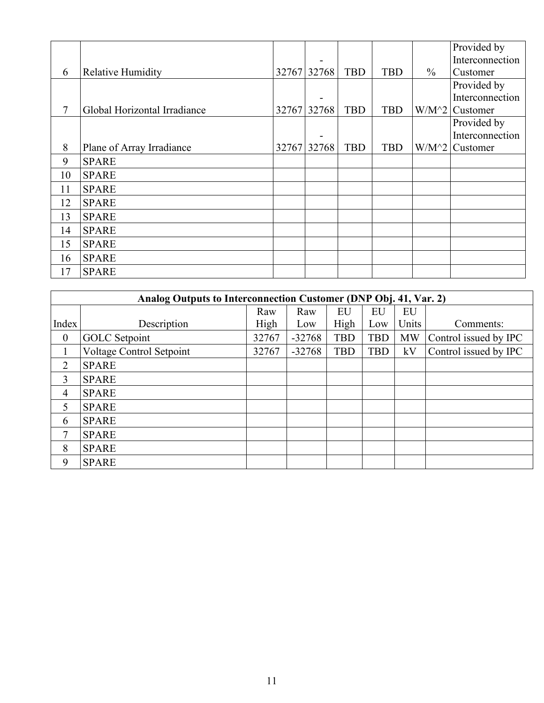|    |                              |             |             |            |            |               | Provided by     |
|----|------------------------------|-------------|-------------|------------|------------|---------------|-----------------|
|    |                              |             |             |            |            |               | Interconnection |
| 6  | <b>Relative Humidity</b>     |             | 32767 32768 | <b>TBD</b> | <b>TBD</b> | $\frac{0}{0}$ | Customer        |
|    |                              |             |             |            |            |               | Provided by     |
|    |                              |             |             |            |            |               | Interconnection |
| 7  | Global Horizontal Irradiance | 32767 32768 |             | <b>TBD</b> | <b>TBD</b> | $W/M^2$       | Customer        |
|    |                              |             |             |            |            |               | Provided by     |
|    |                              |             |             |            |            |               | Interconnection |
| 8  | Plane of Array Irradiance    |             | 32767 32768 | <b>TBD</b> | <b>TBD</b> | $W/M^2$       | Customer        |
| 9  | <b>SPARE</b>                 |             |             |            |            |               |                 |
| 10 | <b>SPARE</b>                 |             |             |            |            |               |                 |
| 11 | <b>SPARE</b>                 |             |             |            |            |               |                 |
| 12 | <b>SPARE</b>                 |             |             |            |            |               |                 |
| 13 | <b>SPARE</b>                 |             |             |            |            |               |                 |
| 14 | <b>SPARE</b>                 |             |             |            |            |               |                 |
| 15 | <b>SPARE</b>                 |             |             |            |            |               |                 |
| 16 | <b>SPARE</b>                 |             |             |            |            |               |                 |
| 17 | <b>SPARE</b>                 |             |             |            |            |               |                 |

|                  | Analog Outputs to Interconnection Customer (DNP Obj. 41, Var. 2) |       |          |            |            |           |                       |  |  |  |
|------------------|------------------------------------------------------------------|-------|----------|------------|------------|-----------|-----------------------|--|--|--|
|                  |                                                                  | Raw   | Raw      | EU         | EU         | EU        |                       |  |  |  |
| Index            | Description                                                      | High  | Low      | High       | Low        | Units     | Comments:             |  |  |  |
| $\boldsymbol{0}$ | <b>GOLC</b> Setpoint                                             | 32767 | $-32768$ | <b>TBD</b> | <b>TBD</b> | <b>MW</b> | Control issued by IPC |  |  |  |
|                  | Voltage Control Setpoint                                         | 32767 | $-32768$ | <b>TBD</b> | <b>TBD</b> | kV        | Control issued by IPC |  |  |  |
| 2                | <b>SPARE</b>                                                     |       |          |            |            |           |                       |  |  |  |
| 3                | <b>SPARE</b>                                                     |       |          |            |            |           |                       |  |  |  |
| 4                | <b>SPARE</b>                                                     |       |          |            |            |           |                       |  |  |  |
| 5                | <b>SPARE</b>                                                     |       |          |            |            |           |                       |  |  |  |
| 6                | <b>SPARE</b>                                                     |       |          |            |            |           |                       |  |  |  |
| 7                | <b>SPARE</b>                                                     |       |          |            |            |           |                       |  |  |  |
| 8                | <b>SPARE</b>                                                     |       |          |            |            |           |                       |  |  |  |
| 9                | <b>SPARE</b>                                                     |       |          |            |            |           |                       |  |  |  |